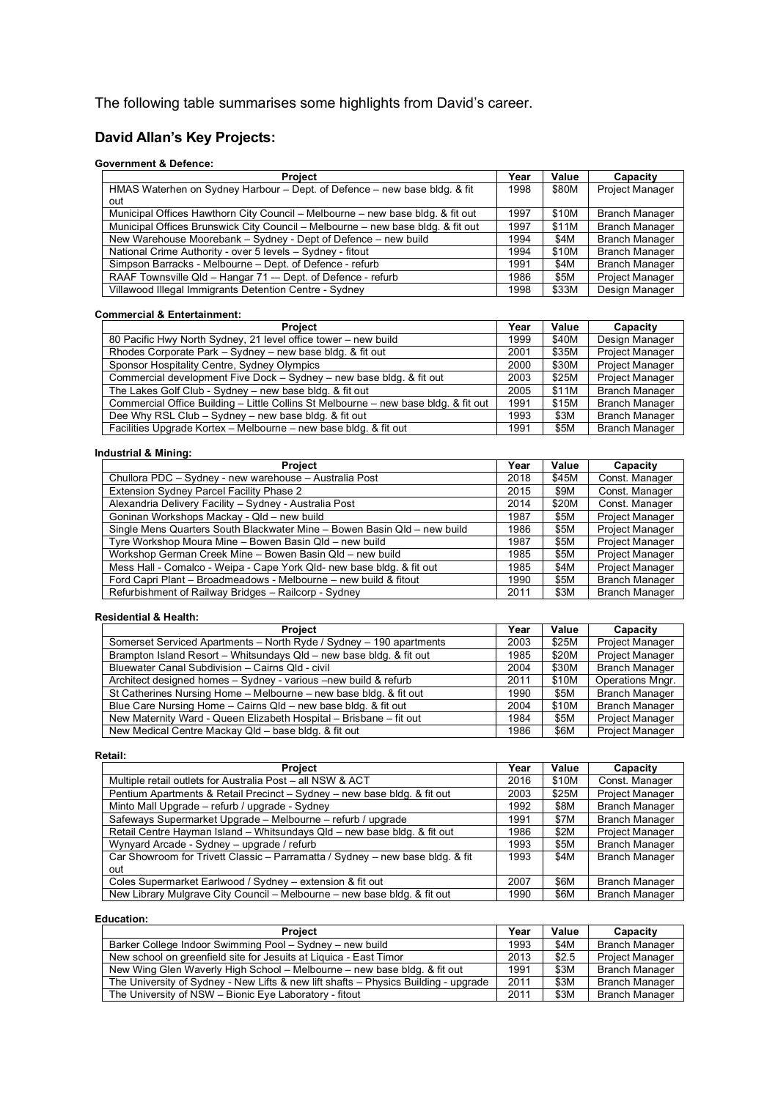The following table summarises some highlights from David's career.

# **David Allan's Key Projects:**

## **Government & Defence:**

| <b>Project</b>                                                                  |      | Value | Capacity               |
|---------------------------------------------------------------------------------|------|-------|------------------------|
| HMAS Waterhen on Sydney Harbour - Dept. of Defence - new base bldg. & fit       | 1998 | \$80M | <b>Project Manager</b> |
| out                                                                             |      |       |                        |
| Municipal Offices Hawthorn City Council – Melbourne – new base bldg. & fit out  | 1997 | \$10M | <b>Branch Manager</b>  |
| Municipal Offices Brunswick City Council – Melbourne – new base bldg. & fit out | 1997 | \$11M | <b>Branch Manager</b>  |
| New Warehouse Moorebank – Sydney - Dept of Defence – new build                  |      | \$4M  | <b>Branch Manager</b>  |
| National Crime Authority - over 5 levels - Sydney - fitout                      |      | \$10M | <b>Branch Manager</b>  |
| Simpson Barracks - Melbourne - Dept. of Defence - refurb                        |      | \$4M  | <b>Branch Manager</b>  |
| RAAF Townsville Qld - Hangar 71 - Dept. of Defence - refurb                     |      | \$5M  | <b>Project Manager</b> |
| Villawood Illegal Immigrants Detention Centre - Sydney                          | 1998 | \$33M | Design Manager         |

### **Commercial & Entertainment:**

| <b>Project</b>                                                                      |      | Value | Capacity               |
|-------------------------------------------------------------------------------------|------|-------|------------------------|
| 80 Pacific Hwy North Sydney, 21 level office tower – new build                      | 1999 | \$40M | Design Manager         |
| Rhodes Corporate Park - Sydney - new base bldg. & fit out                           | 2001 | \$35M | <b>Project Manager</b> |
| Sponsor Hospitality Centre, Sydney Olympics                                         | 2000 | \$30M | <b>Project Manager</b> |
| Commercial development Five Dock - Sydney - new base bldg. & fit out                | 2003 | \$25M | <b>Project Manager</b> |
| The Lakes Golf Club - Sydney - new base bldg. & fit out                             | 2005 | \$11M | <b>Branch Manager</b>  |
| Commercial Office Building - Little Collins St Melbourne - new base bldg. & fit out |      | \$15M | <b>Branch Manager</b>  |
| Dee Why RSL Club - Sydney - new base bldg. & fit out                                | 1993 | \$3M  | <b>Branch Manager</b>  |
| Facilities Upgrade Kortex - Melbourne - new base bldg. & fit out                    | 1991 | \$5M  | <b>Branch Manager</b>  |

## **Industrial & Mining:**

| <b>Project</b>                                                           | Year | Value | Capacity               |
|--------------------------------------------------------------------------|------|-------|------------------------|
| Chullora PDC - Sydney - new warehouse - Australia Post                   | 2018 | \$45M | Const. Manager         |
| Extension Sydney Parcel Facility Phase 2                                 | 2015 | \$9M  | Const. Manager         |
| Alexandria Delivery Facility - Sydney - Australia Post                   | 2014 | \$20M | Const. Manager         |
| Goninan Workshops Mackay - Qld - new build                               | 1987 | \$5M  | <b>Project Manager</b> |
| Single Mens Quarters South Blackwater Mine - Bowen Basin Qld - new build | 1986 | \$5M  | <b>Project Manager</b> |
| Tyre Workshop Moura Mine - Bowen Basin Qld - new build                   | 1987 | \$5M  | <b>Project Manager</b> |
| Workshop German Creek Mine - Bowen Basin Qld - new build                 | 1985 | \$5M  | <b>Project Manager</b> |
| Mess Hall - Comalco - Weipa - Cape York Qld- new base bldg. & fit out    | 1985 | \$4M  | <b>Project Manager</b> |
| Ford Capri Plant - Broadmeadows - Melbourne - new build & fitout         | 1990 | \$5M  | <b>Branch Manager</b>  |
| Refurbishment of Railway Bridges - Railcorp - Sydney                     | 2011 | \$3M  | <b>Branch Manager</b>  |

#### **Residential & Health:**

| <b>Project</b>                                                      | Year | Value       | Capacity               |
|---------------------------------------------------------------------|------|-------------|------------------------|
| Somerset Serviced Apartments - North Ryde / Sydney - 190 apartments | 2003 | \$25M       | <b>Project Manager</b> |
| Brampton Island Resort - Whitsundays Qld - new base bldg. & fit out | 1985 | \$20M       | Project Manager        |
| Bluewater Canal Subdivision - Cairns Qld - civil                    | 2004 | \$30M       | <b>Branch Manager</b>  |
| Architect designed homes - Sydney - various -new build & refurb     | 2011 | \$10M       | Operations Mngr.       |
| St Catherines Nursing Home - Melbourne - new base bldg. & fit out   | 1990 | \$5M        | <b>Branch Manager</b>  |
| Blue Care Nursing Home - Cairns Qld - new base bldg. & fit out      | 2004 | \$10M       | <b>Branch Manager</b>  |
| New Maternity Ward - Queen Elizabeth Hospital - Brisbane - fit out  | 1984 | \$5M        | Project Manager        |
| New Medical Centre Mackay Qld - base bldg. & fit out                | 1986 | <b>\$6M</b> | <b>Project Manager</b> |

## **Retail:**

| <b>Project</b>                                                                | Year | Value | Capacity               |
|-------------------------------------------------------------------------------|------|-------|------------------------|
| Multiple retail outlets for Australia Post - all NSW & ACT                    | 2016 | \$10M | Const. Manager         |
| Pentium Apartments & Retail Precinct - Sydney - new base bldg. & fit out      | 2003 | \$25M | <b>Project Manager</b> |
| Minto Mall Upgrade - refurb / upgrade - Sydney                                | 1992 | \$8M  | <b>Branch Manager</b>  |
| Safeways Supermarket Upgrade - Melbourne - refurb / upgrade                   | 1991 | \$7M  | <b>Branch Manager</b>  |
| Retail Centre Hayman Island - Whitsundays Qld - new base bldg. & fit out      | 1986 | \$2M  | <b>Project Manager</b> |
| Wynyard Arcade - Sydney - upgrade / refurb                                    | 1993 | \$5M  | <b>Branch Manager</b>  |
| Car Showroom for Trivett Classic - Parramatta / Sydney - new base bldg. & fit | 1993 | \$4M  | <b>Branch Manager</b>  |
| out                                                                           |      |       |                        |
| Coles Supermarket Earlwood / Sydney - extension & fit out                     | 2007 | \$6M  | <b>Branch Manager</b>  |
| New Library Mulgrave City Council - Melbourne - new base bldg. & fit out      | 1990 | \$6M  | <b>Branch Manager</b>  |

#### **Education:**

| <b>Project</b>                                                                      |      | Value | Capacity               |
|-------------------------------------------------------------------------------------|------|-------|------------------------|
| Barker College Indoor Swimming Pool - Sydney - new build                            | 1993 | \$4M  | <b>Branch Manager</b>  |
| New school on greenfield site for Jesuits at Liquica - East Timor                   | 2013 | \$2.5 | <b>Project Manager</b> |
| New Wing Glen Waverly High School - Melbourne - new base bldg. & fit out            | 1991 | \$3M  | <b>Branch Manager</b>  |
| The University of Sydney - New Lifts & new lift shafts – Physics Building - upgrade | 2011 | \$3M  | Branch Manager         |
| The University of NSW - Bionic Eye Laboratory - fitout                              | 2011 | \$3M  | <b>Branch Manager</b>  |